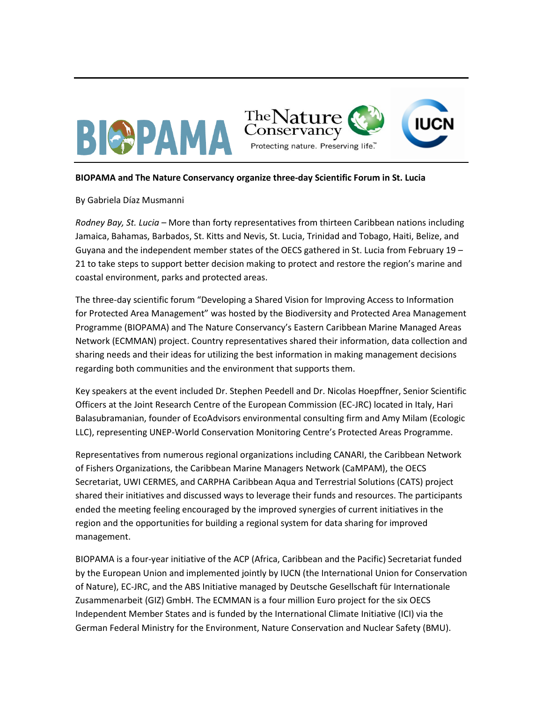

## **BIOPAMA and The Nature Conservancy organize three-day Scientific Forum in St. Lucia**

## By Gabriela Díaz Musmanni

*Rodney Bay, St. Lucia –* More than forty representatives from thirteen Caribbean nations including Jamaica, Bahamas, Barbados, St. Kitts and Nevis, St. Lucia, Trinidad and Tobago, Haiti, Belize, and Guyana and the independent member states of the OECS gathered in St. Lucia from February 19 – 21 to take steps to support better decision making to protect and restore the region's marine and coastal environment, parks and protected areas.

The three-day scientific forum "Developing a Shared Vision for Improving Access to Information for Protected Area Management" was hosted by the Biodiversity and Protected Area Management Programme (BIOPAMA) and The Nature Conservancy's Eastern Caribbean Marine Managed Areas Network (ECMMAN) project. Country representatives shared their information, data collection and sharing needs and their ideas for utilizing the best information in making management decisions regarding both communities and the environment that supports them.

Key speakers at the event included Dr. Stephen Peedell and Dr. Nicolas Hoepffner, Senior Scientific Officers at the Joint Research Centre of the European Commission (EC-JRC) located in Italy, Hari Balasubramanian, founder of EcoAdvisors environmental consulting firm and Amy Milam (Ecologic LLC), representing UNEP-World Conservation Monitoring Centre's Protected Areas Programme.

Representatives from numerous regional organizations including CANARI, the Caribbean Network of Fishers Organizations, the Caribbean Marine Managers Network (CaMPAM), the OECS Secretariat, UWI CERMES, and CARPHA Caribbean Aqua and Terrestrial Solutions (CATS) project shared their initiatives and discussed ways to leverage their funds and resources. The participants ended the meeting feeling encouraged by the improved synergies of current initiatives in the region and the opportunities for building a regional system for data sharing for improved management.

BIOPAMA is a four-year initiative of the ACP (Africa, Caribbean and the Pacific) Secretariat funded by the European Union and implemented jointly by IUCN (the International Union for Conservation of Nature), EC-JRC, and the ABS Initiative managed by Deutsche Gesellschaft für Internationale Zusammenarbeit (GIZ) GmbH. The ECMMAN is a four million Euro project for the six OECS Independent Member States and is funded by the International Climate Initiative (ICI) via the German Federal Ministry for the Environment, Nature Conservation and Nuclear Safety (BMU).